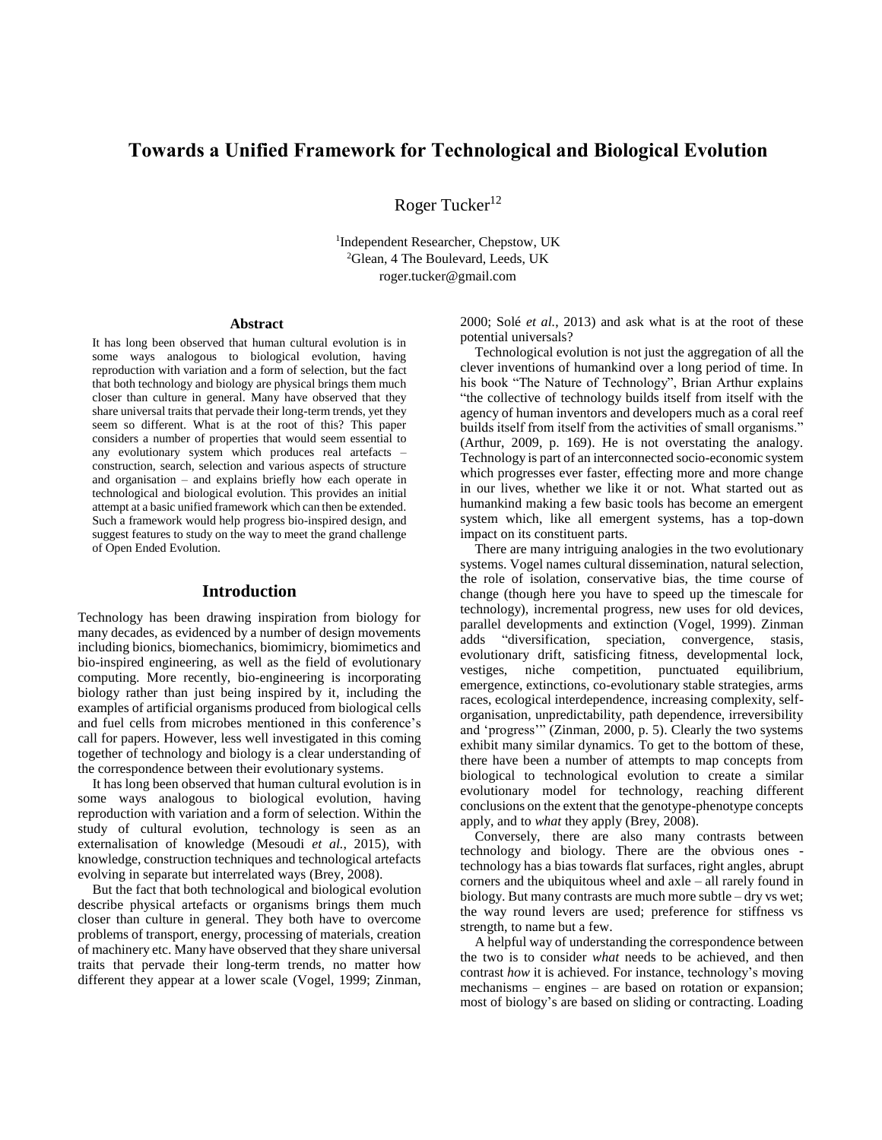# **Towards a Unified Framework for Technological and Biological Evolution**

Roger Tucker<sup>12</sup>

1 Independent Researcher, Chepstow, UK <sup>2</sup>Glean, 4 The Boulevard, Leeds, UK roger.tucker@gmail.com

#### **Abstract**

It has long been observed that human cultural evolution is in some ways analogous to biological evolution, having reproduction with variation and a form of selection, but the fact that both technology and biology are physical brings them much closer than culture in general. Many have observed that they share universal traits that pervade their long-term trends, yet they seem so different. What is at the root of this? This paper considers a number of properties that would seem essential to any evolutionary system which produces real artefacts – construction, search, selection and various aspects of structure and organisation – and explains briefly how each operate in technological and biological evolution. This provides an initial attempt at a basic unified framework which can then be extended. Such a framework would help progress bio-inspired design, and suggest features to study on the way to meet the grand challenge of Open Ended Evolution.

## **Introduction**

Technology has been drawing inspiration from biology for many decades, as evidenced by a number of design movements including bionics, biomechanics, biomimicry, biomimetics and bio-inspired engineering, as well as the field of evolutionary computing. More recently, bio-engineering is incorporating biology rather than just being inspired by it, including the examples of artificial organisms produced from biological cells and fuel cells from microbes mentioned in this conference's call for papers. However, less well investigated in this coming together of technology and biology is a clear understanding of the correspondence between their evolutionary systems.

It has long been observed that human cultural evolution is in some ways analogous to biological evolution, having reproduction with variation and a form of selection. Within the study of cultural evolution, technology is seen as an externalisation of knowledge (Mesoudi *et al.*, 2015), with knowledge, construction techniques and technological artefacts evolving in separate but interrelated ways (Brey, 2008).

But the fact that both technological and biological evolution describe physical artefacts or organisms brings them much closer than culture in general. They both have to overcome problems of transport, energy, processing of materials, creation of machinery etc. Many have observed that they share universal traits that pervade their long-term trends, no matter how different they appear at a lower scale (Vogel, 1999; Zinman, 2000; Solé *et al.*, 2013) and ask what is at the root of these potential universals?

Technological evolution is not just the aggregation of all the clever inventions of humankind over a long period of time. In his book "The Nature of Technology", Brian Arthur explains "the collective of technology builds itself from itself with the agency of human inventors and developers much as a coral reef builds itself from itself from the activities of small organisms." (Arthur, 2009, p. 169). He is not overstating the analogy. Technology is part of an interconnected socio-economic system which progresses ever faster, effecting more and more change in our lives, whether we like it or not. What started out as humankind making a few basic tools has become an emergent system which, like all emergent systems, has a top-down impact on its constituent parts.

There are many intriguing analogies in the two evolutionary systems. Vogel names cultural dissemination, natural selection, the role of isolation, conservative bias, the time course of change (though here you have to speed up the timescale for technology), incremental progress, new uses for old devices, parallel developments and extinction (Vogel, 1999). Zinman adds "diversification, speciation, convergence, stasis, evolutionary drift, satisficing fitness, developmental lock, vestiges, niche competition, punctuated equilibrium, emergence, extinctions, co-evolutionary stable strategies, arms races, ecological interdependence, increasing complexity, selforganisation, unpredictability, path dependence, irreversibility and 'progress'" (Zinman, 2000, p. 5). Clearly the two systems exhibit many similar dynamics. To get to the bottom of these, there have been a number of attempts to map concepts from biological to technological evolution to create a similar evolutionary model for technology, reaching different conclusions on the extent that the genotype-phenotype concepts apply, and to *what* they apply (Brey, 2008).

Conversely, there are also many contrasts between technology and biology. There are the obvious ones technology has a bias towards flat surfaces, right angles, abrupt corners and the ubiquitous wheel and axle – all rarely found in biology. But many contrasts are much more subtle – dry vs wet; the way round levers are used; preference for stiffness vs strength, to name but a few.

A helpful way of understanding the correspondence between the two is to consider *what* needs to be achieved, and then contrast *how* it is achieved. For instance, technology's moving mechanisms – engines – are based on rotation or expansion; most of biology's are based on sliding or contracting. Loading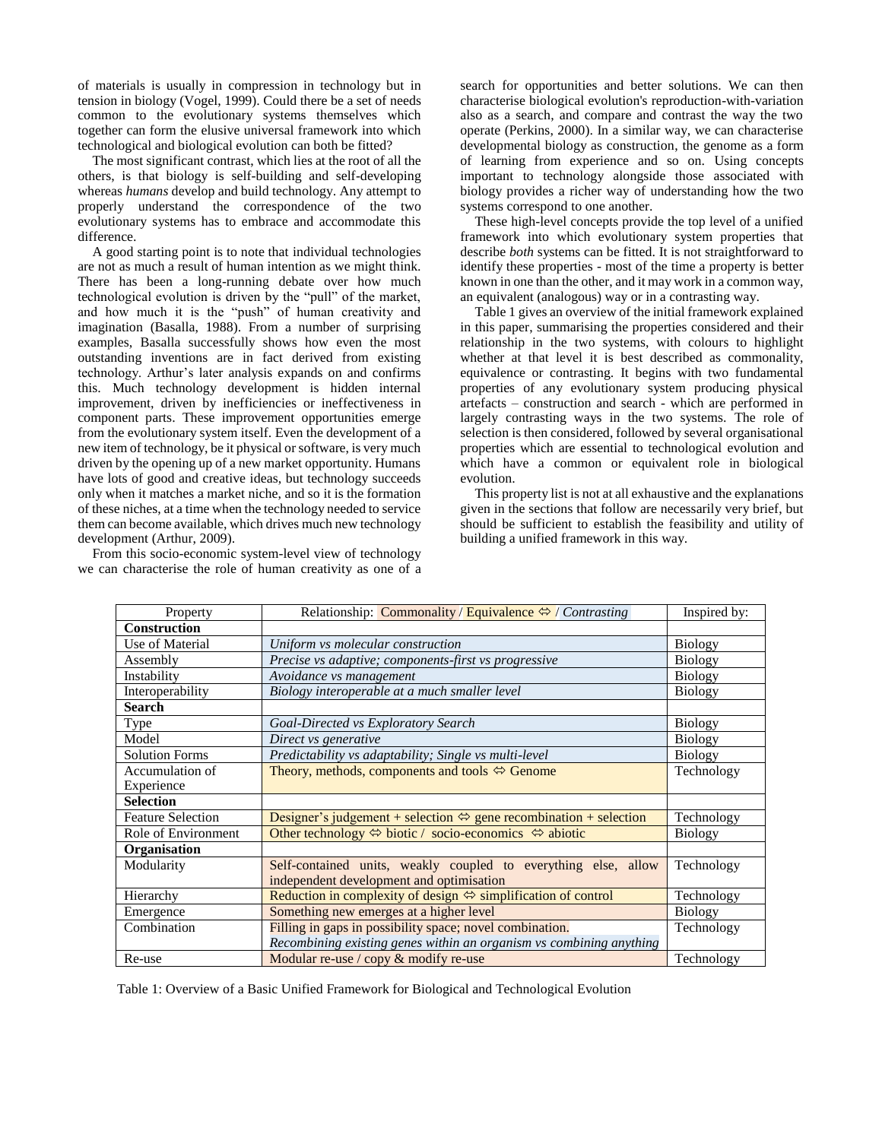of materials is usually in compression in technology but in tension in biology (Vogel, 1999). Could there be a set of needs common to the evolutionary systems themselves which together can form the elusive universal framework into which technological and biological evolution can both be fitted?

The most significant contrast, which lies at the root of all the others, is that biology is self-building and self-developing whereas *humans* develop and build technology. Any attempt to properly understand the correspondence of the two evolutionary systems has to embrace and accommodate this difference.

A good starting point is to note that individual technologies are not as much a result of human intention as we might think. There has been a long-running debate over how much technological evolution is driven by the "pull" of the market, and how much it is the "push" of human creativity and imagination (Basalla, 1988). From a number of surprising examples, Basalla successfully shows how even the most outstanding inventions are in fact derived from existing technology. Arthur's later analysis expands on and confirms this. Much technology development is hidden internal improvement, driven by inefficiencies or ineffectiveness in component parts. These improvement opportunities emerge from the evolutionary system itself. Even the development of a new item of technology, be it physical or software, is very much driven by the opening up of a new market opportunity. Humans have lots of good and creative ideas, but technology succeeds only when it matches a market niche, and so it is the formation of these niches, at a time when the technology needed to service them can become available, which drives much new technology development (Arthur, 2009).

From this socio-economic system-level view of technology we can characterise the role of human creativity as one of a search for opportunities and better solutions. We can then characterise biological evolution's reproduction-with-variation also as a search, and compare and contrast the way the two operate (Perkins, 2000). In a similar way, we can characterise developmental biology as construction, the genome as a form of learning from experience and so on. Using concepts important to technology alongside those associated with biology provides a richer way of understanding how the two systems correspond to one another.

These high-level concepts provide the top level of a unified framework into which evolutionary system properties that describe *both* systems can be fitted. It is not straightforward to identify these properties - most of the time a property is better known in one than the other, and it may work in a common way, an equivalent (analogous) way or in a contrasting way.

Table 1 gives an overview of the initial framework explained in this paper, summarising the properties considered and their relationship in the two systems, with colours to highlight whether at that level it is best described as commonality, equivalence or contrasting. It begins with two fundamental properties of any evolutionary system producing physical artefacts – construction and search - which are performed in largely contrasting ways in the two systems. The role of selection is then considered, followed by several organisational properties which are essential to technological evolution and which have a common or equivalent role in biological evolution.

This property list is not at all exhaustive and the explanations given in the sections that follow are necessarily very brief, but should be sufficient to establish the feasibility and utility of building a unified framework in this way.

| Property                 | Relationship: Commonality / Equivalence $\Leftrightarrow$ / Contrasting               | Inspired by:   |
|--------------------------|---------------------------------------------------------------------------------------|----------------|
| <b>Construction</b>      |                                                                                       |                |
| Use of Material          | Uniform vs molecular construction                                                     | <b>Biology</b> |
| Assembly                 | Precise vs adaptive; components-first vs progressive                                  | <b>Biology</b> |
| Instability              | Avoidance vs management                                                               | <b>Biology</b> |
| Interoperability         | Biology interoperable at a much smaller level                                         | <b>Biology</b> |
| <b>Search</b>            |                                                                                       |                |
| Type                     | Goal-Directed vs Exploratory Search                                                   | <b>Biology</b> |
| Model                    | Direct vs generative                                                                  | <b>Biology</b> |
| <b>Solution Forms</b>    | Predictability vs adaptability; Single vs multi-level                                 | <b>Biology</b> |
| Accumulation of          | Theory, methods, components and tools $\Leftrightarrow$ Genome                        | Technology     |
| Experience               |                                                                                       |                |
| <b>Selection</b>         |                                                                                       |                |
| <b>Feature Selection</b> | Designer's judgement + selection $\Leftrightarrow$ gene recombination + selection     | Technology     |
| Role of Environment      | Other technology $\Leftrightarrow$ biotic / socio-economics $\Leftrightarrow$ abiotic | <b>Biology</b> |
| Organisation             |                                                                                       |                |
| Modularity               | Self-contained units, weakly coupled to everything else, allow                        | Technology     |
|                          | independent development and optimisation                                              |                |
| Hierarchy                | Reduction in complexity of design $\Leftrightarrow$ simplification of control         | Technology     |
| Emergence                | Something new emerges at a higher level                                               | <b>Biology</b> |
| Combination              | Filling in gaps in possibility space; novel combination.                              | Technology     |
|                          | Recombining existing genes within an organism vs combining anything                   |                |
| Re-use                   | Modular re-use / $copy & modify$ re-use                                               | Technology     |

Table 1: Overview of a Basic Unified Framework for Biological and Technological Evolution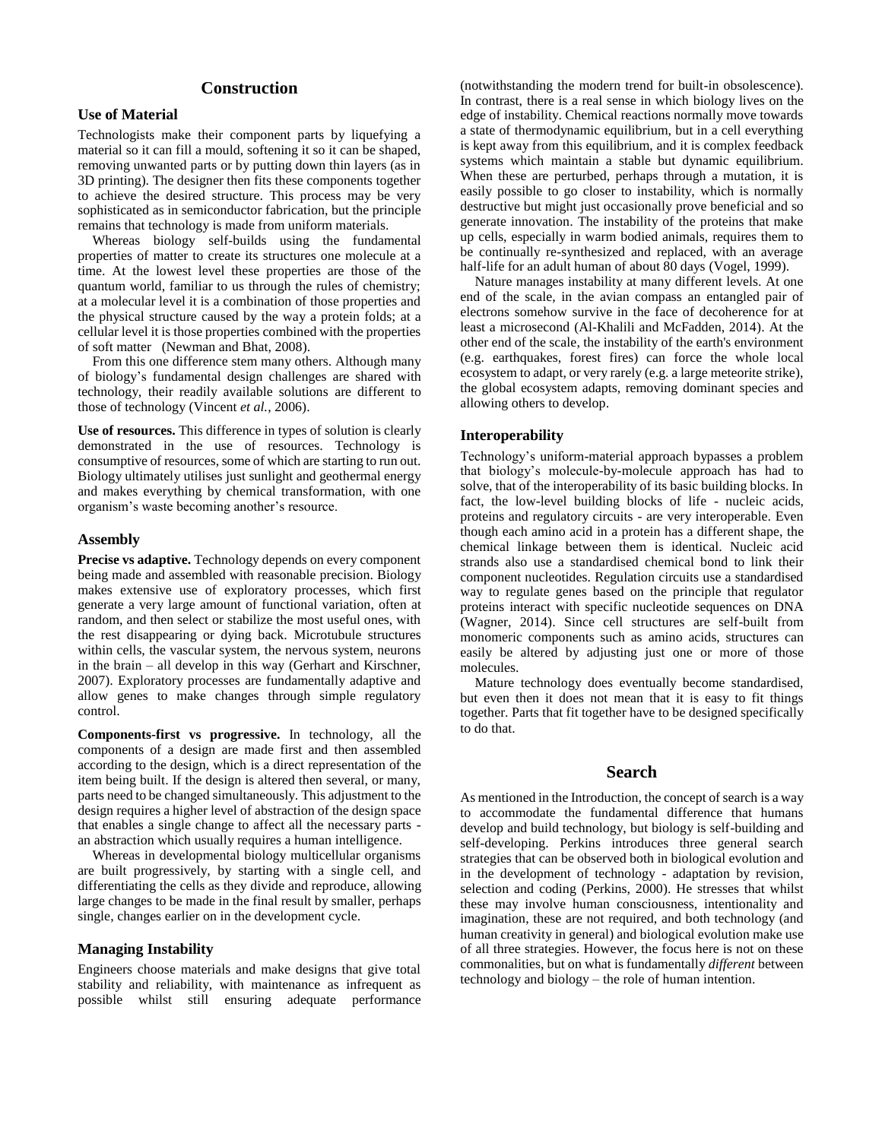# **Construction**

# **Use of Material**

Technologists make their component parts by liquefying a material so it can fill a mould, softening it so it can be shaped, removing unwanted parts or by putting down thin layers (as in 3D printing). The designer then fits these components together to achieve the desired structure. This process may be very sophisticated as in semiconductor fabrication, but the principle remains that technology is made from uniform materials.

Whereas biology self-builds using the fundamental properties of matter to create its structures one molecule at a time. At the lowest level these properties are those of the quantum world, familiar to us through the rules of chemistry; at a molecular level it is a combination of those properties and the physical structure caused by the way a protein folds; at a cellular level it is those properties combined with the properties of soft matter (Newman and Bhat, 2008).

From this one difference stem many others. Although many of biology's fundamental design challenges are shared with technology, their readily available solutions are different to those of technology (Vincent *et al.*, 2006).

**Use of resources.** This difference in types of solution is clearly demonstrated in the use of resources. Technology is consumptive of resources, some of which are starting to run out. Biology ultimately utilises just sunlight and geothermal energy and makes everything by chemical transformation, with one organism's waste becoming another's resource.

#### **Assembly**

**Precise vs adaptive.** Technology depends on every component being made and assembled with reasonable precision. Biology makes extensive use of exploratory processes, which first generate a very large amount of functional variation, often at random, and then select or stabilize the most useful ones, with the rest disappearing or dying back. Microtubule structures within cells, the vascular system, the nervous system, neurons in the brain – all develop in this way (Gerhart and Kirschner, 2007). Exploratory processes are fundamentally adaptive and allow genes to make changes through simple regulatory control.

**Components-first vs progressive.** In technology, all the components of a design are made first and then assembled according to the design, which is a direct representation of the item being built. If the design is altered then several, or many, parts need to be changed simultaneously. This adjustment to the design requires a higher level of abstraction of the design space that enables a single change to affect all the necessary parts an abstraction which usually requires a human intelligence.

Whereas in developmental biology multicellular organisms are built progressively, by starting with a single cell, and differentiating the cells as they divide and reproduce, allowing large changes to be made in the final result by smaller, perhaps single, changes earlier on in the development cycle.

#### **Managing Instability**

Engineers choose materials and make designs that give total stability and reliability, with maintenance as infrequent as possible whilst still ensuring adequate performance

(notwithstanding the modern trend for built-in obsolescence). In contrast, there is a real sense in which biology lives on the edge of instability. Chemical reactions normally move towards a state of thermodynamic equilibrium, but in a cell everything is kept away from this equilibrium, and it is complex feedback systems which maintain a stable but dynamic equilibrium. When these are perturbed, perhaps through a mutation, it is easily possible to go closer to instability, which is normally destructive but might just occasionally prove beneficial and so generate innovation. The instability of the proteins that make up cells, especially in warm bodied animals, requires them to be continually re-synthesized and replaced, with an average half-life for an adult human of about 80 days (Vogel, 1999).

Nature manages instability at many different levels. At one end of the scale, in the avian compass an entangled pair of electrons somehow survive in the face of decoherence for at least a microsecond (Al-Khalili and McFadden, 2014). At the other end of the scale, the instability of the earth's environment (e.g. earthquakes, forest fires) can force the whole local ecosystem to adapt, or very rarely (e.g. a large meteorite strike), the global ecosystem adapts, removing dominant species and allowing others to develop.

# **Interoperability**

Technology's uniform-material approach bypasses a problem that biology's molecule-by-molecule approach has had to solve, that of the interoperability of its basic building blocks. In fact, the low-level building blocks of life - nucleic acids, proteins and regulatory circuits - are very interoperable. Even though each amino acid in a protein has a different shape, the chemical linkage between them is identical. Nucleic acid strands also use a standardised chemical bond to link their component nucleotides. Regulation circuits use a standardised way to regulate genes based on the principle that regulator proteins interact with specific nucleotide sequences on DNA (Wagner, 2014). Since cell structures are self-built from monomeric components such as amino acids, structures can easily be altered by adjusting just one or more of those molecules.

Mature technology does eventually become standardised, but even then it does not mean that it is easy to fit things together. Parts that fit together have to be designed specifically to do that.

## **Search**

As mentioned in the Introduction, the concept of search is a way to accommodate the fundamental difference that humans develop and build technology, but biology is self-building and self-developing. Perkins introduces three general search strategies that can be observed both in biological evolution and in the development of technology - adaptation by revision, selection and coding (Perkins, 2000). He stresses that whilst these may involve human consciousness, intentionality and imagination, these are not required, and both technology (and human creativity in general) and biological evolution make use of all three strategies. However, the focus here is not on these commonalities, but on what is fundamentally *different* between technology and biology – the role of human intention.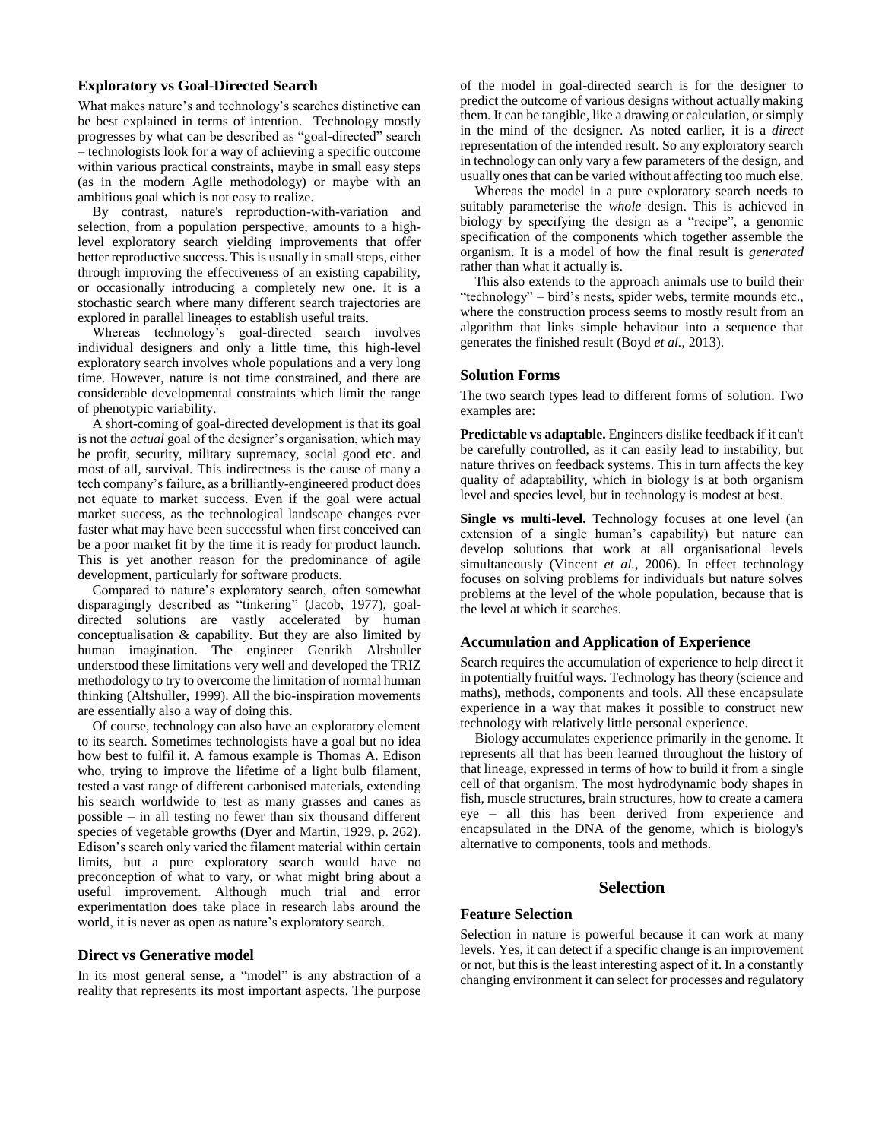## **Exploratory vs Goal-Directed Search**

What makes nature's and technology's searches distinctive can be best explained in terms of intention. Technology mostly progresses by what can be described as "goal-directed" search – technologists look for a way of achieving a specific outcome within various practical constraints, maybe in small easy steps (as in the modern Agile methodology) or maybe with an ambitious goal which is not easy to realize.

By contrast, nature's reproduction-with-variation and selection, from a population perspective, amounts to a highlevel exploratory search yielding improvements that offer better reproductive success. This is usually in small steps, either through improving the effectiveness of an existing capability, or occasionally introducing a completely new one. It is a stochastic search where many different search trajectories are explored in parallel lineages to establish useful traits.

Whereas technology's goal-directed search involves individual designers and only a little time, this high-level exploratory search involves whole populations and a very long time. However, nature is not time constrained, and there are considerable developmental constraints which limit the range of phenotypic variability.

A short-coming of goal-directed development is that its goal is not the *actual* goal of the designer's organisation, which may be profit, security, military supremacy, social good etc. and most of all, survival. This indirectness is the cause of many a tech company's failure, as a brilliantly-engineered product does not equate to market success. Even if the goal were actual market success, as the technological landscape changes ever faster what may have been successful when first conceived can be a poor market fit by the time it is ready for product launch. This is yet another reason for the predominance of agile development, particularly for software products.

Compared to nature's exploratory search, often somewhat disparagingly described as "tinkering" (Jacob, 1977), goaldirected solutions are vastly accelerated by human conceptualisation & capability. But they are also limited by human imagination. The engineer Genrikh Altshuller understood these limitations very well and developed the TRIZ methodology to try to overcome the limitation of normal human thinking (Altshuller, 1999). All the bio-inspiration movements are essentially also a way of doing this.

Of course, technology can also have an exploratory element to its search. Sometimes technologists have a goal but no idea how best to fulfil it. A famous example is Thomas A. Edison who, trying to improve the lifetime of a light bulb filament, tested a vast range of different carbonised materials, extending his search worldwide to test as many grasses and canes as possible – in all testing no fewer than six thousand different species of vegetable growths (Dyer and Martin, 1929, p. 262). Edison's search only varied the filament material within certain limits, but a pure exploratory search would have no preconception of what to vary, or what might bring about a useful improvement. Although much trial and error experimentation does take place in research labs around the world, it is never as open as nature's exploratory search.

#### **Direct vs Generative model**

In its most general sense, a "model" is any abstraction of a reality that represents its most important aspects. The purpose

of the model in goal-directed search is for the designer to predict the outcome of various designs without actually making them. It can be tangible, like a drawing or calculation, or simply in the mind of the designer. As noted earlier, it is a *direct* representation of the intended result. So any exploratory search in technology can only vary a few parameters of the design, and usually ones that can be varied without affecting too much else.

Whereas the model in a pure exploratory search needs to suitably parameterise the *whole* design. This is achieved in biology by specifying the design as a "recipe", a genomic specification of the components which together assemble the organism. It is a model of how the final result is *generated* rather than what it actually is.

This also extends to the approach animals use to build their "technology" – bird's nests, spider webs, termite mounds etc., where the construction process seems to mostly result from an algorithm that links simple behaviour into a sequence that generates the finished result (Boyd *et al.*, 2013).

### **Solution Forms**

The two search types lead to different forms of solution. Two examples are:

**Predictable vs adaptable.** Engineers dislike feedback if it can't be carefully controlled, as it can easily lead to instability, but nature thrives on feedback systems. This in turn affects the key quality of adaptability, which in biology is at both organism level and species level, but in technology is modest at best.

**Single vs multi-level.** Technology focuses at one level (an extension of a single human's capability) but nature can develop solutions that work at all organisational levels simultaneously (Vincent *et al.*, 2006). In effect technology focuses on solving problems for individuals but nature solves problems at the level of the whole population, because that is the level at which it searches.

# **Accumulation and Application of Experience**

Search requires the accumulation of experience to help direct it in potentially fruitful ways. Technology has theory (science and maths), methods, components and tools. All these encapsulate experience in a way that makes it possible to construct new technology with relatively little personal experience.

Biology accumulates experience primarily in the genome. It represents all that has been learned throughout the history of that lineage, expressed in terms of how to build it from a single cell of that organism. The most hydrodynamic body shapes in fish, muscle structures, brain structures, how to create a camera eye – all this has been derived from experience and encapsulated in the DNA of the genome, which is biology's alternative to components, tools and methods.

# **Selection**

## **Feature Selection**

Selection in nature is powerful because it can work at many levels. Yes, it can detect if a specific change is an improvement or not, but this is the least interesting aspect of it. In a constantly changing environment it can select for processes and regulatory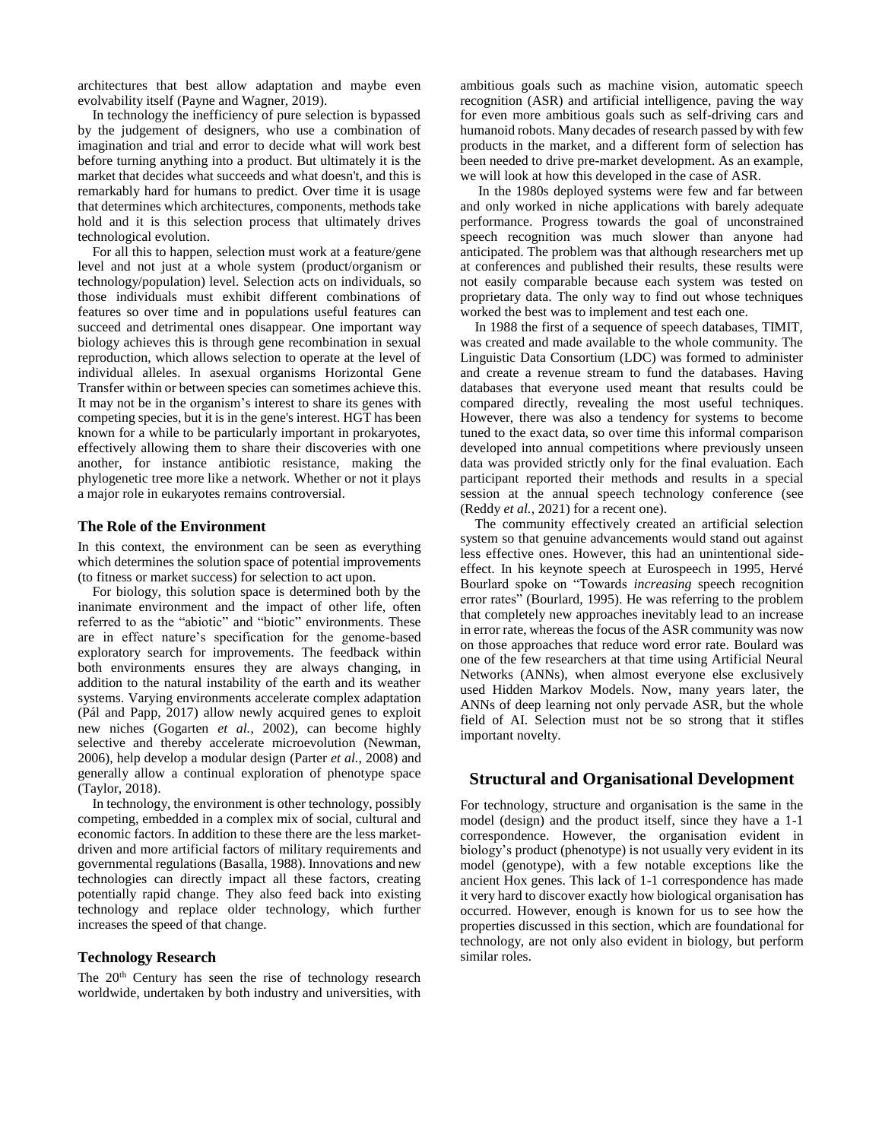architectures that best allow adaptation and maybe even evolvability itself (Payne and Wagner, 2019).

In technology the inefficiency of pure selection is bypassed by the judgement of designers, who use a combination of imagination and trial and error to decide what will work best before turning anything into a product. But ultimately it is the market that decides what succeeds and what doesn't, and this is remarkably hard for humans to predict. Over time it is usage that determines which architectures, components, methods take hold and it is this selection process that ultimately drives technological evolution.

For all this to happen, selection must work at a feature/gene level and not just at a whole system (product/organism or technology/population) level. Selection acts on individuals, so those individuals must exhibit different combinations of features so over time and in populations useful features can succeed and detrimental ones disappear. One important way biology achieves this is through gene recombination in sexual reproduction, which allows selection to operate at the level of individual alleles. In asexual organisms Horizontal Gene Transfer within or between species can sometimes achieve this. It may not be in the organism's interest to share its genes with competing species, but it is in the gene's interest. HGT has been known for a while to be particularly important in prokaryotes, effectively allowing them to share their discoveries with one another, for instance antibiotic resistance, making the phylogenetic tree more like a network. Whether or not it plays a major role in eukaryotes remains controversial.

### **The Role of the Environment**

In this context, the environment can be seen as everything which determines the solution space of potential improvements (to fitness or market success) for selection to act upon.

For biology, this solution space is determined both by the inanimate environment and the impact of other life, often referred to as the "abiotic" and "biotic" environments. These are in effect nature's specification for the genome-based exploratory search for improvements. The feedback within both environments ensures they are always changing, in addition to the natural instability of the earth and its weather systems. Varying environments accelerate complex adaptation (Pál and Papp, 2017) allow newly acquired genes to exploit new niches (Gogarten *et al.*, 2002), can become highly selective and thereby accelerate microevolution (Newman, 2006), help develop a modular design (Parter *et al.*, 2008) and generally allow a continual exploration of phenotype space (Taylor, 2018).

In technology, the environment is other technology, possibly competing, embedded in a complex mix of social, cultural and economic factors. In addition to these there are the less marketdriven and more artificial factors of military requirements and governmental regulations (Basalla, 1988). Innovations and new technologies can directly impact all these factors, creating potentially rapid change. They also feed back into existing technology and replace older technology, which further increases the speed of that change.

# **Technology Research**

The 20<sup>th</sup> Century has seen the rise of technology research worldwide, undertaken by both industry and universities, with ambitious goals such as machine vision, automatic speech recognition (ASR) and artificial intelligence, paving the way for even more ambitious goals such as self-driving cars and humanoid robots. Many decades of research passed by with few products in the market, and a different form of selection has been needed to drive pre-market development. As an example, we will look at how this developed in the case of ASR.

In the 1980s deployed systems were few and far between and only worked in niche applications with barely adequate performance. Progress towards the goal of unconstrained speech recognition was much slower than anyone had anticipated. The problem was that although researchers met up at conferences and published their results, these results were not easily comparable because each system was tested on proprietary data. The only way to find out whose techniques worked the best was to implement and test each one.

In 1988 the first of a sequence of speech databases, TIMIT, was created and made available to the whole community. The Linguistic Data Consortium (LDC) was formed to administer and create a revenue stream to fund the databases. Having databases that everyone used meant that results could be compared directly, revealing the most useful techniques. However, there was also a tendency for systems to become tuned to the exact data, so over time this informal comparison developed into annual competitions where previously unseen data was provided strictly only for the final evaluation. Each participant reported their methods and results in a special session at the annual speech technology conference (see (Reddy *et al.*, 2021) for a recent one).

The community effectively created an artificial selection system so that genuine advancements would stand out against less effective ones. However, this had an unintentional sideeffect. In his keynote speech at Eurospeech in 1995, Hervé Bourlard spoke on "Towards *increasing* speech recognition error rates" (Bourlard, 1995). He was referring to the problem that completely new approaches inevitably lead to an increase in error rate, whereas the focus of the ASR community was now on those approaches that reduce word error rate. Boulard was one of the few researchers at that time using Artificial Neural Networks (ANNs), when almost everyone else exclusively used Hidden Markov Models. Now, many years later, the ANNs of deep learning not only pervade ASR, but the whole field of AI. Selection must not be so strong that it stifles important novelty.

## **Structural and Organisational Development**

For technology, structure and organisation is the same in the model (design) and the product itself, since they have a 1-1 correspondence. However, the organisation evident in biology's product (phenotype) is not usually very evident in its model (genotype), with a few notable exceptions like the ancient Hox genes. This lack of 1-1 correspondence has made it very hard to discover exactly how biological organisation has occurred. However, enough is known for us to see how the properties discussed in this section, which are foundational for technology, are not only also evident in biology, but perform similar roles.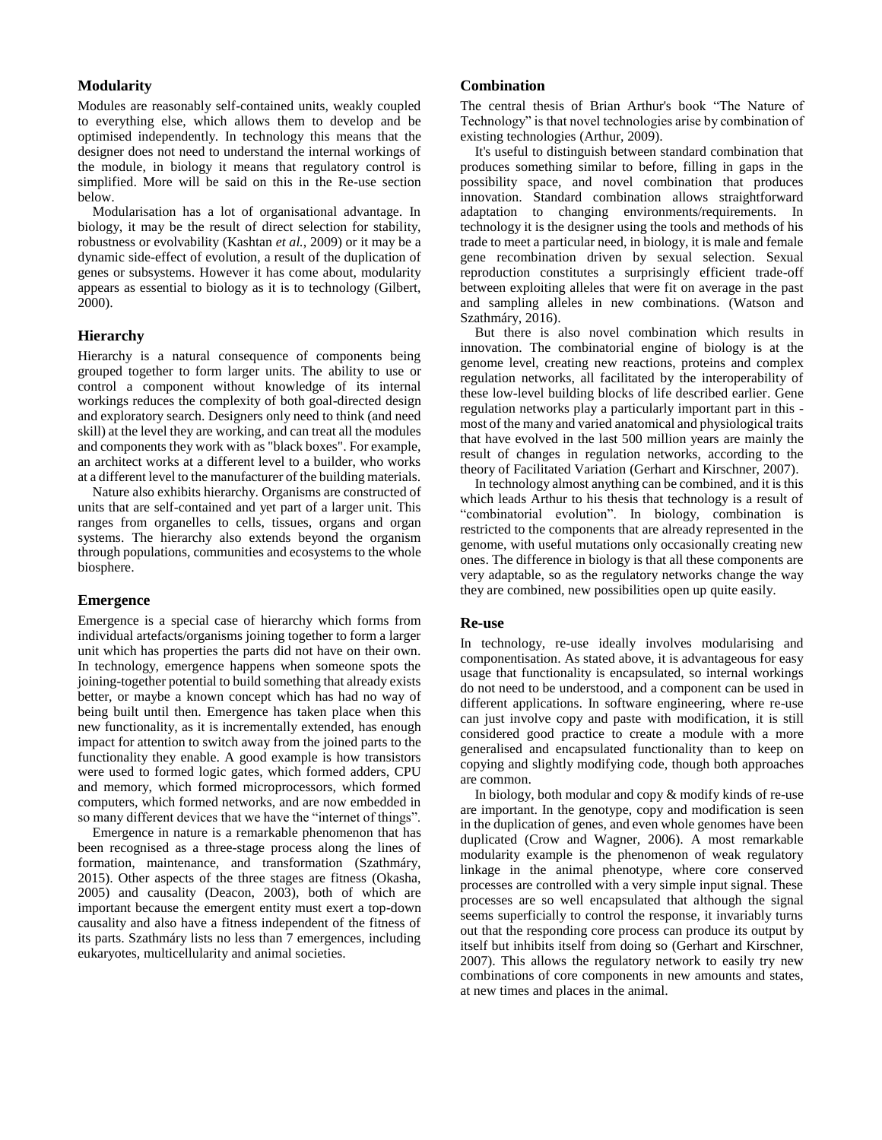## **Modularity**

Modules are reasonably self-contained units, weakly coupled to everything else, which allows them to develop and be optimised independently. In technology this means that the designer does not need to understand the internal workings of the module, in biology it means that regulatory control is simplified. More will be said on this in the Re-use section below.

Modularisation has a lot of organisational advantage. In biology, it may be the result of direct selection for stability, robustness or evolvability (Kashtan *et al.*, 2009) or it may be a dynamic side-effect of evolution, a result of the duplication of genes or subsystems. However it has come about, modularity appears as essential to biology as it is to technology (Gilbert, 2000).

## **Hierarchy**

Hierarchy is a natural consequence of components being grouped together to form larger units. The ability to use or control a component without knowledge of its internal workings reduces the complexity of both goal-directed design and exploratory search. Designers only need to think (and need skill) at the level they are working, and can treat all the modules and components they work with as "black boxes". For example, an architect works at a different level to a builder, who works at a different level to the manufacturer of the building materials.

Nature also exhibits hierarchy. Organisms are constructed of units that are self-contained and yet part of a larger unit. This ranges from organelles to cells, tissues, organs and organ systems. The hierarchy also extends beyond the organism through populations, communities and ecosystems to the whole biosphere.

#### **Emergence**

Emergence is a special case of hierarchy which forms from individual artefacts/organisms joining together to form a larger unit which has properties the parts did not have on their own. In technology, emergence happens when someone spots the joining-together potential to build something that already exists better, or maybe a known concept which has had no way of being built until then. Emergence has taken place when this new functionality, as it is incrementally extended, has enough impact for attention to switch away from the joined parts to the functionality they enable. A good example is how transistors were used to formed logic gates, which formed adders, CPU and memory, which formed microprocessors, which formed computers, which formed networks, and are now embedded in so many different devices that we have the "internet of things".

Emergence in nature is a remarkable phenomenon that has been recognised as a three-stage process along the lines of formation, maintenance, and transformation (Szathmáry, 2015). Other aspects of the three stages are fitness (Okasha, 2005) and causality (Deacon, 2003), both of which are important because the emergent entity must exert a top-down causality and also have a fitness independent of the fitness of its parts. Szathmáry lists no less than 7 emergences, including eukaryotes, multicellularity and animal societies.

## **Combination**

The central thesis of Brian Arthur's book "The Nature of Technology" is that novel technologies arise by combination of existing technologies (Arthur, 2009).

It's useful to distinguish between standard combination that produces something similar to before, filling in gaps in the possibility space, and novel combination that produces innovation. Standard combination allows straightforward adaptation to changing environments/requirements. In technology it is the designer using the tools and methods of his trade to meet a particular need, in biology, it is male and female gene recombination driven by sexual selection. Sexual reproduction constitutes a surprisingly efficient trade-off between exploiting alleles that were fit on average in the past and sampling alleles in new combinations. (Watson and Szathmáry, 2016).

But there is also novel combination which results in innovation. The combinatorial engine of biology is at the genome level, creating new reactions, proteins and complex regulation networks, all facilitated by the interoperability of these low-level building blocks of life described earlier. Gene regulation networks play a particularly important part in this most of the many and varied anatomical and physiological traits that have evolved in the last 500 million years are mainly the result of changes in regulation networks, according to the theory of Facilitated Variation (Gerhart and Kirschner, 2007).

In technology almost anything can be combined, and it is this which leads Arthur to his thesis that technology is a result of "combinatorial evolution". In biology, combination is restricted to the components that are already represented in the genome, with useful mutations only occasionally creating new ones. The difference in biology is that all these components are very adaptable, so as the regulatory networks change the way they are combined, new possibilities open up quite easily.

#### **Re-use**

In technology, re-use ideally involves modularising and componentisation. As stated above, it is advantageous for easy usage that functionality is encapsulated, so internal workings do not need to be understood, and a component can be used in different applications. In software engineering, where re-use can just involve copy and paste with modification, it is still considered good practice to create a module with a more generalised and encapsulated functionality than to keep on copying and slightly modifying code, though both approaches are common.

In biology, both modular and copy & modify kinds of re-use are important. In the genotype, copy and modification is seen in the duplication of genes, and even whole genomes have been duplicated (Crow and Wagner, 2006). A most remarkable modularity example is the phenomenon of weak regulatory linkage in the animal phenotype, where core conserved processes are controlled with a very simple input signal. These processes are so well encapsulated that although the signal seems superficially to control the response, it invariably turns out that the responding core process can produce its output by itself but inhibits itself from doing so (Gerhart and Kirschner, 2007). This allows the regulatory network to easily try new combinations of core components in new amounts and states, at new times and places in the animal.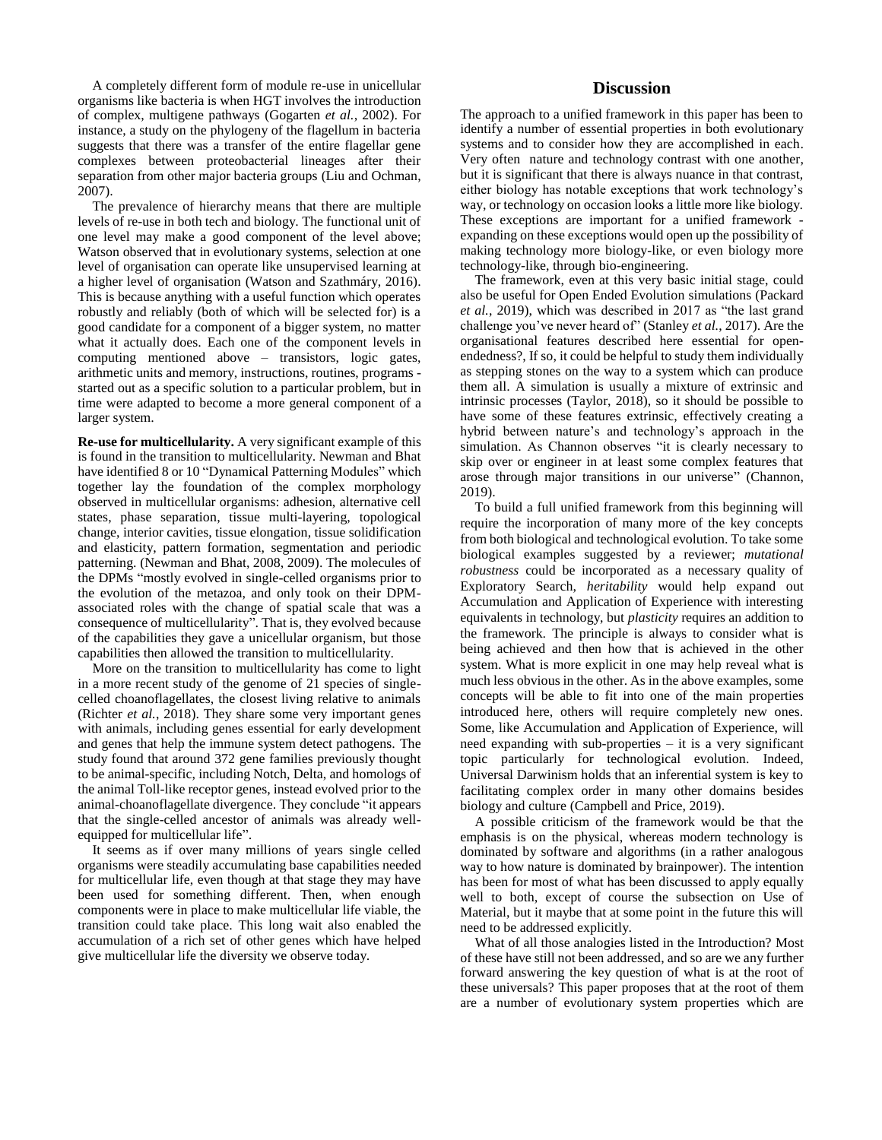A completely different form of module re-use in unicellular organisms like bacteria is when HGT involves the introduction of complex, multigene pathways (Gogarten *et al.*, 2002). For instance, a study on the phylogeny of the flagellum in bacteria suggests that there was a transfer of the entire flagellar gene complexes between proteobacterial lineages after their separation from other major bacteria groups (Liu and Ochman, 2007).

The prevalence of hierarchy means that there are multiple levels of re-use in both tech and biology. The functional unit of one level may make a good component of the level above; Watson observed that in evolutionary systems, selection at one level of organisation can operate like unsupervised learning at a higher level of organisation (Watson and Szathmáry, 2016). This is because anything with a useful function which operates robustly and reliably (both of which will be selected for) is a good candidate for a component of a bigger system, no matter what it actually does. Each one of the component levels in computing mentioned above – transistors, logic gates, arithmetic units and memory, instructions, routines, programs started out as a specific solution to a particular problem, but in time were adapted to become a more general component of a larger system.

**Re-use for multicellularity.** A very significant example of this is found in the transition to multicellularity. Newman and Bhat have identified 8 or 10 "Dynamical Patterning Modules" which together lay the foundation of the complex morphology observed in multicellular organisms: adhesion, alternative cell states, phase separation, tissue multi-layering, topological change, interior cavities, tissue elongation, tissue solidification and elasticity, pattern formation, segmentation and periodic patterning. (Newman and Bhat, 2008, 2009). The molecules of the DPMs "mostly evolved in single-celled organisms prior to the evolution of the metazoa, and only took on their DPMassociated roles with the change of spatial scale that was a consequence of multicellularity". That is, they evolved because of the capabilities they gave a unicellular organism, but those capabilities then allowed the transition to multicellularity.

More on the transition to multicellularity has come to light in a more recent study of the genome of 21 species of singlecelled choanoflagellates, the closest living relative to animals (Richter *et al.*, 2018). They share some very important genes with animals, including genes essential for early development and genes that help the immune system detect pathogens. The study found that around 372 gene families previously thought to be animal-specific, including Notch, Delta, and homologs of the animal Toll-like receptor genes, instead evolved prior to the animal-choanoflagellate divergence. They conclude "it appears that the single-celled ancestor of animals was already wellequipped for multicellular life".

It seems as if over many millions of years single celled organisms were steadily accumulating base capabilities needed for multicellular life, even though at that stage they may have been used for something different. Then, when enough components were in place to make multicellular life viable, the transition could take place. This long wait also enabled the accumulation of a rich set of other genes which have helped give multicellular life the diversity we observe today.

# **Discussion**

The approach to a unified framework in this paper has been to identify a number of essential properties in both evolutionary systems and to consider how they are accomplished in each. Very often nature and technology contrast with one another, but it is significant that there is always nuance in that contrast, either biology has notable exceptions that work technology's way, or technology on occasion looks a little more like biology. These exceptions are important for a unified framework expanding on these exceptions would open up the possibility of making technology more biology-like, or even biology more technology-like, through bio-engineering.

The framework, even at this very basic initial stage, could also be useful for Open Ended Evolution simulations (Packard *et al.*, 2019), which was described in 2017 as "the last grand challenge you've never heard of" (Stanley *et al.*, 2017). Are the organisational features described here essential for openendedness?, If so, it could be helpful to study them individually as stepping stones on the way to a system which can produce them all. A simulation is usually a mixture of extrinsic and intrinsic processes (Taylor, 2018), so it should be possible to have some of these features extrinsic, effectively creating a hybrid between nature's and technology's approach in the simulation. As Channon observes "it is clearly necessary to skip over or engineer in at least some complex features that arose through major transitions in our universe" (Channon, 2019).

To build a full unified framework from this beginning will require the incorporation of many more of the key concepts from both biological and technological evolution. To take some biological examples suggested by a reviewer; *mutational robustness* could be incorporated as a necessary quality of Exploratory Search, *heritability* would help expand out Accumulation and Application of Experience with interesting equivalents in technology, but *plasticity* requires an addition to the framework. The principle is always to consider what is being achieved and then how that is achieved in the other system. What is more explicit in one may help reveal what is much less obvious in the other. As in the above examples, some concepts will be able to fit into one of the main properties introduced here, others will require completely new ones. Some, like Accumulation and Application of Experience, will need expanding with sub-properties – it is a very significant topic particularly for technological evolution. Indeed, Universal Darwinism holds that an inferential system is key to facilitating complex order in many other domains besides biology and culture (Campbell and Price, 2019).

A possible criticism of the framework would be that the emphasis is on the physical, whereas modern technology is dominated by software and algorithms (in a rather analogous way to how nature is dominated by brainpower). The intention has been for most of what has been discussed to apply equally well to both, except of course the subsection on Use of Material, but it maybe that at some point in the future this will need to be addressed explicitly.

What of all those analogies listed in the Introduction? Most of these have still not been addressed, and so are we any further forward answering the key question of what is at the root of these universals? This paper proposes that at the root of them are a number of evolutionary system properties which are